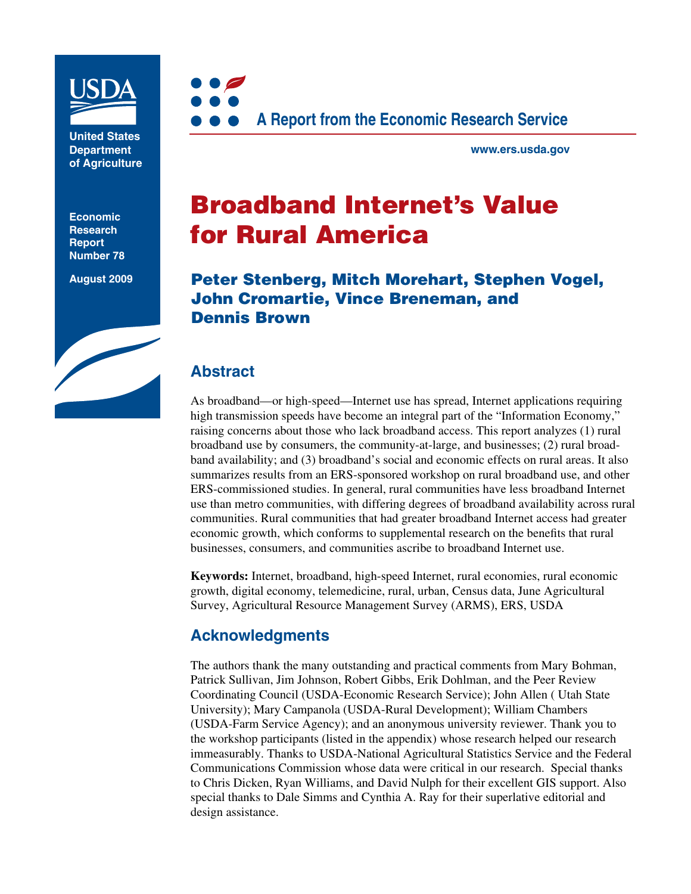

**United States Department of Agriculture**

**Economic Research Report Number 78**

**August 2009**



**www.ers.usda.gov**

# **Broadband Internet's Value for Rural America**

**Peter Stenberg, Mitch Morehart, Stephen Vogel, John Cromartie, Vince Breneman, and Dennis Brown**

## **Abstract**

As broadband—or high-speed—Internet use has spread, Internet applications requiring high transmission speeds have become an integral part of the "Information Economy," raising concerns about those who lack broadband access. This report analyzes (1) rural broadband use by consumers, the community-at-large, and businesses; (2) rural broadband availability; and (3) broadband's social and economic effects on rural areas. It also summarizes results from an ERS-sponsored workshop on rural broadband use, and other ERS-commissioned studies. In general, rural communities have less broadband Internet use than metro communities, with differing degrees of broadband availability across rural communities. Rural communities that had greater broadband Internet access had greater economic growth, which conforms to supplemental research on the benefits that rural businesses, consumers, and communities ascribe to broadband Internet use.

**Keywords:** Internet, broadband, high-speed Internet, rural economies, rural economic growth, digital economy, telemedicine, rural, urban, Census data, June Agricultural Survey, Agricultural Resource Management Survey (ARMS), ERS, USDA

### **Acknowledgments**

The authors thank the many outstanding and practical comments from Mary Bohman, Patrick Sullivan, Jim Johnson, Robert Gibbs, Erik Dohlman, and the Peer Review Coordinating Council (USDA-Economic Research Service); John Allen ( Utah State University); Mary Campanola (USDA-Rural Development); William Chambers (USDA-Farm Service Agency); and an anonymous university reviewer. Thank you to the workshop participants (listed in the appendix) whose research helped our research immeasurably. Thanks to USDA-National Agricultural Statistics Service and the Federal Communications Commission whose data were critical in our research. Special thanks to Chris Dicken, Ryan Williams, and David Nulph for their excellent GIS support. Also special thanks to Dale Simms and Cynthia A. Ray for their superlative editorial and design assistance.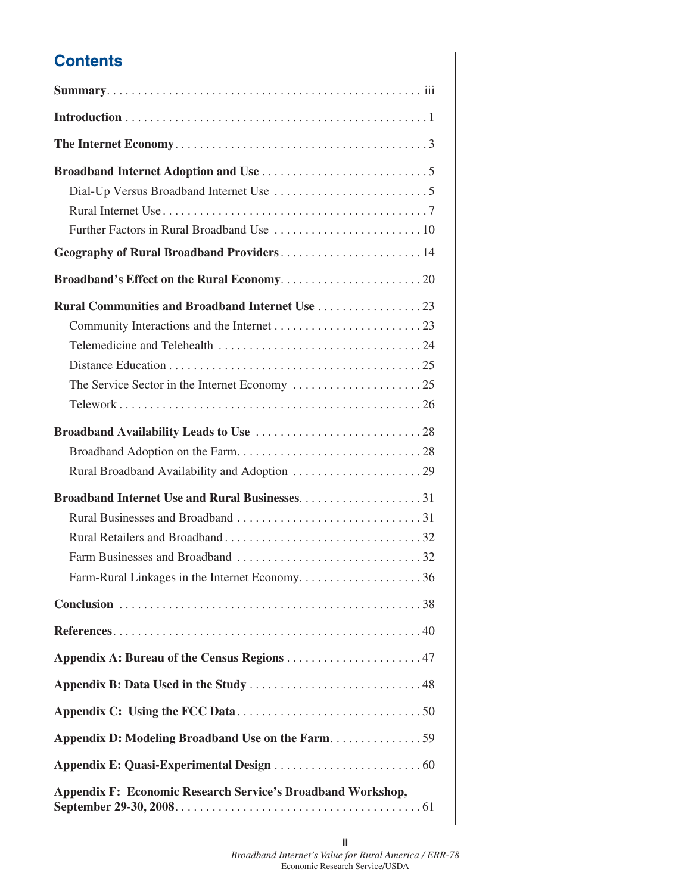## **Contents**

| Geography of Rural Broadband Providers 14                                                               |
|---------------------------------------------------------------------------------------------------------|
|                                                                                                         |
| <b>Rural Communities and Broadband Internet Use 23</b><br>Farm-Rural Linkages in the Internet Economy36 |
|                                                                                                         |
|                                                                                                         |
|                                                                                                         |
|                                                                                                         |
|                                                                                                         |
|                                                                                                         |
|                                                                                                         |
| <b>Appendix F: Economic Research Service's Broadband Workshop,</b>                                      |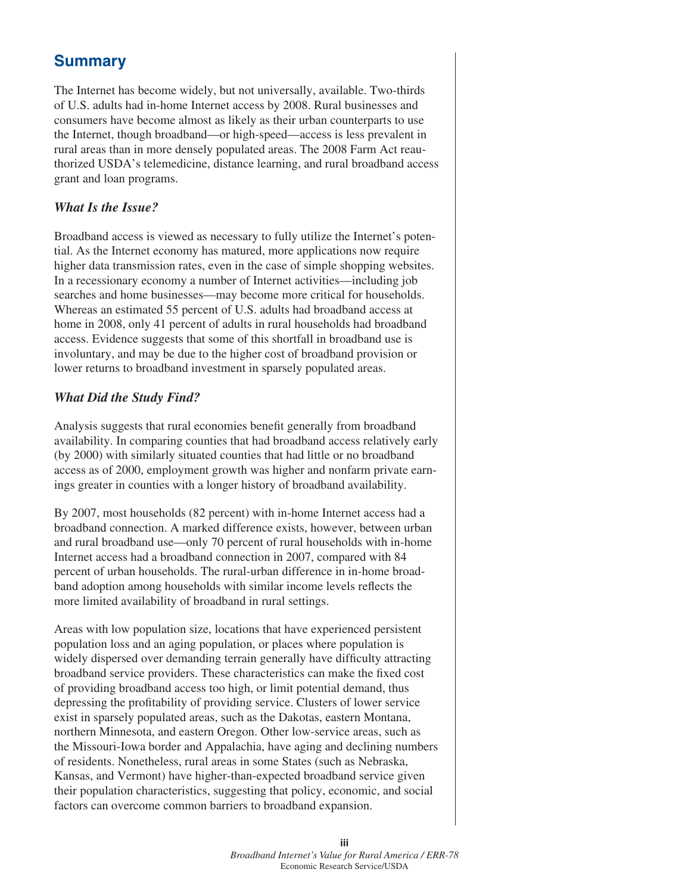## **Summary**

The Internet has become widely, but not universally, available. Two-thirds of U.S. adults had in-home Internet access by 2008. Rural businesses and consumers have become almost as likely as their urban counterparts to use the Internet, though broadband—or high-speed—access is less prevalent in rural areas than in more densely populated areas. The 2008 Farm Act reauthorized USDA's telemedicine, distance learning, and rural broadband access grant and loan programs.

#### *What Is the Issue?*

Broadband access is viewed as necessary to fully utilize the Internet's potential. As the Internet economy has matured, more applications now require higher data transmission rates, even in the case of simple shopping websites. In a recessionary economy a number of Internet activities—including job searches and home businesses—may become more critical for households. Whereas an estimated 55 percent of U.S. adults had broadband access at home in 2008, only 41 percent of adults in rural households had broadband access. Evidence suggests that some of this shortfall in broadband use is involuntary, and may be due to the higher cost of broadband provision or lower returns to broadband investment in sparsely populated areas.

#### *What Did the Study Find?*

Analysis suggests that rural economies benefit generally from broadband availability. In comparing counties that had broadband access relatively early (by 2000) with similarly situated counties that had little or no broadband access as of 2000, employment growth was higher and nonfarm private earnings greater in counties with a longer history of broadband availability.

By 2007, most households (82 percent) with in-home Internet access had a broadband connection. A marked difference exists, however, between urban and rural broadband use—only 70 percent of rural households with in-home Internet access had a broadband connection in 2007, compared with 84 percent of urban households. The rural-urban difference in in-home broadband adoption among households with similar income levels reflects the more limited availability of broadband in rural settings.

Areas with low population size, locations that have experienced persistent population loss and an aging population, or places where population is widely dispersed over demanding terrain generally have difficulty attracting broadband service providers. These characteristics can make the fixed cost of providing broadband access too high, or limit potential demand, thus depressing the profitability of providing service. Clusters of lower service exist in sparsely populated areas, such as the Dakotas, eastern Montana, northern Minnesota, and eastern Oregon. Other low-service areas, such as the Missouri-Iowa border and Appalachia, have aging and declining numbers of residents. Nonetheless, rural areas in some States (such as Nebraska, Kansas, and Vermont) have higher-than-expected broadband service given their population characteristics, suggesting that policy, economic, and social factors can overcome common barriers to broadband expansion.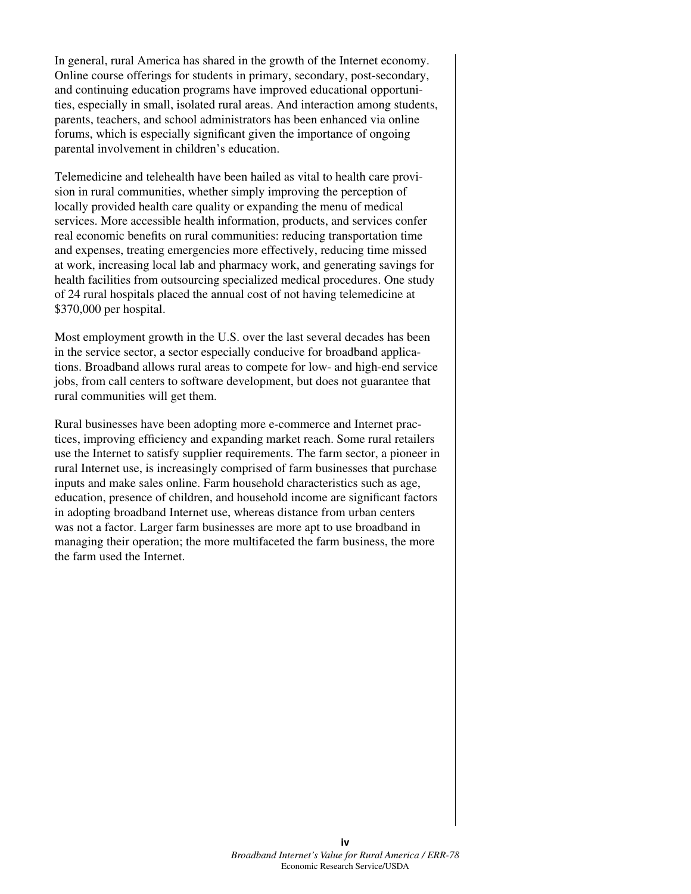In general, rural America has shared in the growth of the Internet economy. Online course offerings for students in primary, secondary, post-secondary, and continuing education programs have improved educational opportunities, especially in small, isolated rural areas. And interaction among students, parents, teachers, and school administrators has been enhanced via online forums, which is especially significant given the importance of ongoing parental involvement in children's education.

Telemedicine and telehealth have been hailed as vital to health care provision in rural communities, whether simply improving the perception of locally provided health care quality or expanding the menu of medical services. More accessible health information, products, and services confer real economic benefits on rural communities: reducing transportation time and expenses, treating emergencies more effectively, reducing time missed at work, increasing local lab and pharmacy work, and generating savings for health facilities from outsourcing specialized medical procedures. One study of 24 rural hospitals placed the annual cost of not having telemedicine at \$370,000 per hospital.

Most employment growth in the U.S. over the last several decades has been in the service sector, a sector especially conducive for broadband applications. Broadband allows rural areas to compete for low- and high-end service jobs, from call centers to software development, but does not guarantee that rural communities will get them.

Rural businesses have been adopting more e-commerce and Internet practices, improving efficiency and expanding market reach. Some rural retailers use the Internet to satisfy supplier requirements. The farm sector, a pioneer in rural Internet use, is increasingly comprised of farm businesses that purchase inputs and make sales online. Farm household characteristics such as age, education, presence of children, and household income are significant factors in adopting broadband Internet use, whereas distance from urban centers was not a factor. Larger farm businesses are more apt to use broadband in managing their operation; the more multifaceted the farm business, the more the farm used the Internet.